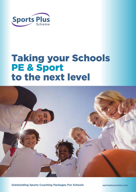

# Taking your Schools PE & Sport to the next level



**Outstanding Sports Coaching Packages For Schools**

**sportsplusscheme.com**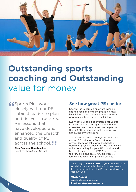

# **Outstanding sports coaching and Outstanding** value for money

**f** Sports Plus work<br>closely with our P<br>subject leader to closely with our PE subject leader to plan and deliver structured PE lessons that have developed and enhanced the breadth and quality of PE across the school. **J**<br>Alan Pearson, Headteacher<br>New Invention Junior School

**Alan Pearson, Headteacher** New Invention Junior School

## **See how great PE can be**

Sports Plus Scheme is an award-winning sports coaching company providing nextlevel PE and sports education to hundreds of primary schools across the Midlands.

Every day our qualified Professional Sports Coaches deliver carefully considered and cost-effective programmes that help more than 20,000 primary school children stay happy, healthy and active.

We understand the challenges schools face around PE and sports. By working as part of your team, we take away the hassle of delivering physical education. We can take on full accountability for your PE provision and help make sure all your KS1&2 pupils develop their PE skills and enjoy fun, progressive lessons and rewarding physical activity.

To arrange a FREE AUDIT of your PE and sports provision, or a simple chat about how we can help your school develop PE and sport, please get in touch.

**01922 453322 sportsplusscheme.com info@sportsplusscheme.com**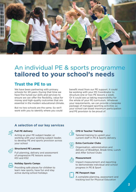

# An individual PE & sports programme **tailored to your school's needs**

### **Trust the PE to us**

We have been partnering with primary schools for 20 years. During that time we have fine-tuned our skills and services to ensure we can offer the flexibility, value for money and high-quality outcomes that are essential in the modern educational climate.

But no two schools are the same. So we'll work with you to identify where you could

benefit most from our PE support. It could be working with your PE Coordinator to structure one or two PE lessons a week. Or it could see us taking responsibility for the whole of your PE curriculum. Whatever your requirements, we can provide a bespoke package of managed sporting activities so your school can boast maximum participation and PE provision to be proud of.

### **A selection of our key services**

#### **Full PE delivery**

Acting as your PE subject leader, or working with your existing subject leader, to develop PE and sports provision across your school



#### **Structured PE Lessons**

Full planning, delivery and assessment of progressive PE lessons across KS1 and KS2



#### **Holiday Sports Camps**

Providing safe places for children to learn new sports, have fun and stay active during school holidays

#### **CPD & Teacher Training**

Tailored training to upskill your current staff in PE & Sports delivery

#### **Extra Curricular Clubs**

Organisation, administration and delivery of Breakfast, Break-time, Lunch and After School Clubs



#### **Measurement**

Impact-measurement and reporting to demonstrate individual and school progress in PE & Sport

#### **PE Passport App**

A complete planning, assessment and tracking tool for Physical Education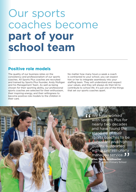# Our sports coaches become **part of your school team**

## **Positive role models**

The quality of our business relies on the consistency and professionalism of our sports coaches. All Sports Plus coaches are recruited and trained by Sports Plus founder, Andy Mulligan and his Management Team. As well as being chosen for their sporting ability, our professional sports coaches are selected for their enthusiasm, their inspiring energy, and their willingness to become positive role models to the children in their care.

No matter how many hours a week a coach is contracted to your school, you can expect him or her to integrate seamlessly into your staffing team. They will understand and respect your values, and they will always do their bit to contribute to school life. It's just one of the things that set our sports coaches apart.

> **f 6** We have worked<br>
> with Sports Plus<br>
> nearly two decad with Sports Plus for nearly two decades and have found the standard of their sports coaches to be consistant and high quality, supported with a professionally managed service. **Ellen Taylor, Headteacher**  Little Bloxwich Primary School  $\frac{1}{2}$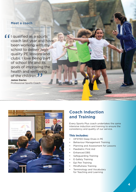### **Meet a coach**

**f** I qualified as a sports<br>coach last year and has<br>been working with my coach last year and have been working with my school to deliver high quality PE lessons and clubs. I love being part of school life and its goals of improving the health and wellbeing of the children. DUN<br>JJ<br><sub>ach</sub>

**James Davies** Professional Sports Coach



# **Coach Induction and Training**

Every Sports Plus coach undertakes the same intensive induction and training to ensure the consistency and quality of our service.

#### This includes:

- OFSTED Deep Dives in PE
- Behaviour Management Training
- Planning and Assessment for Lessons
- Paediatric First Aid
- Enhanced DBS
- Safeguarding Training
- E-Safety Training
- Epi Pen Training
- Mindfulness Training
- Terminology and Vocabulary for Teaching and Learning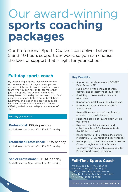# Our award-winning **sports coaching packages**

Our Professional Sports Coaches can deliver between 2 and 40 hours support per week, so you can choose the level of support that is right for your school.

## **Full-day sports coach**

By contracting a Sports Plus coach for one, two or even three full days a week, you are adding a highly professional member to your team who you can rely on for far more than just PE & sports. We understand that not every lesson of the day can involve sports. Our coaches are happy to help out at break times, lunchtime, and step in and provide support wherever and however you need them to. Offering a flexible and adaptable member of staff.

#### **Full Day** (5.5 Hours)

#### **Professional:** £POA per day

Add Afterschool Sports Club For £20 per day

### **Established Professional:** £POA per day

Add Afterschool Sports Club For £20 per day

### **Senior Professional: £POA per day**

Add Afterschool Sports Club For £20 per day

#### **Key Benefits:**

- Support and updates around OFSTED Deep Dives in PE
- Full planning with schemes of work, delivery and assessment of PE lessons
- Flexibility to cover staff absence or PPA cover
- Support and upskill your PE subject lead
- Introduces a wider variety of sports and activities
- An additional member of your team to provide cross-curricular support
- Raises the profile of PE and sport within your school
- Reports on individual student and collective school PE achievements via the PE Passport APP
- Keeps abreast of the national PE picture, including OFSTED focus and sports trends
- Back-up support and Guaranteed Absence Cover through Sports Plus Scheme
- Consistent and sustainable role model for PE and sport across the school

### **Full-Time Sports Coach**

We provide a full-time coach to become an integral part of your staffing team. You decide how to make best use of their time and skills to suit your school's needs.

To find out more, call us on **01922 453322**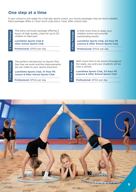## **One step at a time**

If your school is not ready for a full-day sports coach, our hourly packages may be more suitable. Each package offers a 1 hour lunch club and a 1 hour after school club.

**2 Hour Package**

The extra curricular package offering 2 hours of high quality clubs for up to 20 chidren to take part.

**Lunchtime Sports Club & After School Sports Club**

**Professional:** £POA per day

A little more time to keep your children active and provide outstanding results.

**Lunchtime Sports Club, X2 Hour PE Lessons & After School Sports Club**

**Professional:** £POA per day

**3 Hours of high quality clubs for up to 20**<br> **3 Hournant to take part.**<br> **4 Hournant Professional: £POA per day**<br> **3** After School Sports Club<br> **Professional: £POA per day**<br> **3** The perfect introduction to Sports Plus.<br>
S The perfect introduction to Sports Plus. See how we work and the improvements we can make to your sports provision. **Professional:** £POA per day **Professional:** £POA per day **Professional:** £POA per day **Professional:** £POA per day **Professional:** £POA per day **Professional:** £POA per day **Professional:** £POA per day **Professional:** £PO

**Lunchtime Sports Club, X1 Hour PE Lesson & After School Sports Club**

With more time to be active throughout the week, you and your students will be onto a winner.

**Lunchtime Sports Club, X3 Hour PE Lessons & After School Sports Club**

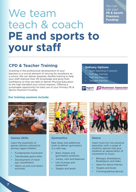You can use your **PE & Sports Premium Funding**!

# We team teach & coach **PE and sports to your staff**

# **CPD & Teacher Training**

Investing in the professional development of your teachers is a crucial element of striving for excellence as a school. We can deliver bespoke, flexible training to help your staff improve their PE knowledge and grow their confidence so they are able to deliver Physical Education to the high standard your school requires. Offering a sustainable opportunity for best use of your Primary PE & Sports Premium Funding.

#### **Delivery Options**

- Team teaching in lessons
- Full day training
- Half day training
- Twilight training





#### **Our training sessions include:**



#### **Games Skills**

Learn the essentials of games delivery tailored to primary-aged children.

- Fundamental movement
- Transferable game skills
- Development of handeye coordination
- Warm up and cool down activities



#### **Gymnastics**

New ideas and additional tools to deliver gymnastics in a safe way.

- Basic shapes and gymnastics positions
- Jumps, rolls and balances
- Use of props and equipment
- Targets and levels



#### **Dance**

Inject more fun into physical education with a range of rhythmic dances that give students an appreciation of movement to music.

- Bhangra, Streetdance, Breakdance and Haka
- Ideas for dance themes
- Targets and levels
- Choreographing dances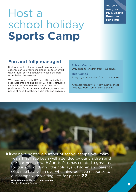# Host a school holiday **Sports Camp**

You can use your **PE & Sports Premium Funding**!

# **Fun and fully managed**

During school holidays or inset days, our sports coaches can use your school facilities to offer full days of fun sporting activities to keep children occupied and entertained.

We can accommodate KS1 and KS2 pupils that are separated into age and ability, with daily activities carefully planned to ensure every child has a positive and fun experience, and every parent has peace of mind that their child is safe and engaged.

**School Camps** Only open to children from your school

**Hub Camps** Bring together children from local schools

Available Monday to Friday during school holidays. 10am-3pm or 9am-3.30pm

"<br>"<br>" ")<br>"<br>" We have hosted a number of school camps over many years that have been well attended by our children and our partnership with Sports Plus has created a great asset for our school during the holidays. Children and parents continue to give an overwhelming positive response to our camps with waiting lists for places. **Alex Walmsley, Deputy Headteacher**  Yardley Primary School **8**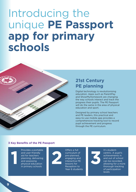# Introducing the unique **PE Passport app for primary schools**



# **21st Century PE planning**

Digital technology is revolutionising education. Apps such as ParentPay and ShowMyHomework are changing the way schools interact and track the progress their pupils. The PE Passport will do the same in the area of physical education and sport.

Designed by primary school teachers and PE leaders, this practical and easy-to-use mobile app provides a comprehensive tracking tool to record pupil achievement and progress through the PE curriculum.

#### **3 Key Benefits of the PE Passport**

Provides a portable and user-friendly aid for teachers planning, delivering and assessing Provides a portable<br>and user-friendly<br>aid for teachers<br>planning, delivering<br>and assessing<br>physical education<br>in primary schools in primary schools



Offers a full curriculum of pre-planned, engaging and interactive PE lessons for Reception to Year 6 students

**3**

It's studentcentric. A pupil's achievements in and out of school can be recorded, allowing for a more thorough tracking of participation levels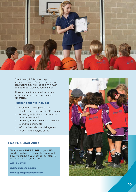

The Primary PE Passport App is included as part of our service when contracting Sports Plus to a minimum of 2 days per week at your school.

Alternatively it can be added as an individual service and purchased separately.

#### **Further benefits include:**

- Measuring the impact of PE
- Monitoring attendance in PE lessons
- Providing objective and formative based assessment
- Providing reflective self-assessment
- Useful tracking tools
- Informative videos and diagrams
- Reports and analysis of PE

#### **Free PE & Sport Audit**

To arrange a FREE AUDIT of your PE & sports provision, or a simple chat about how we can help your school develop PE & sports, please get in touch.

**01922 453322**

**sportsplusscheme.com**

**info@sportsplusscheme.com**